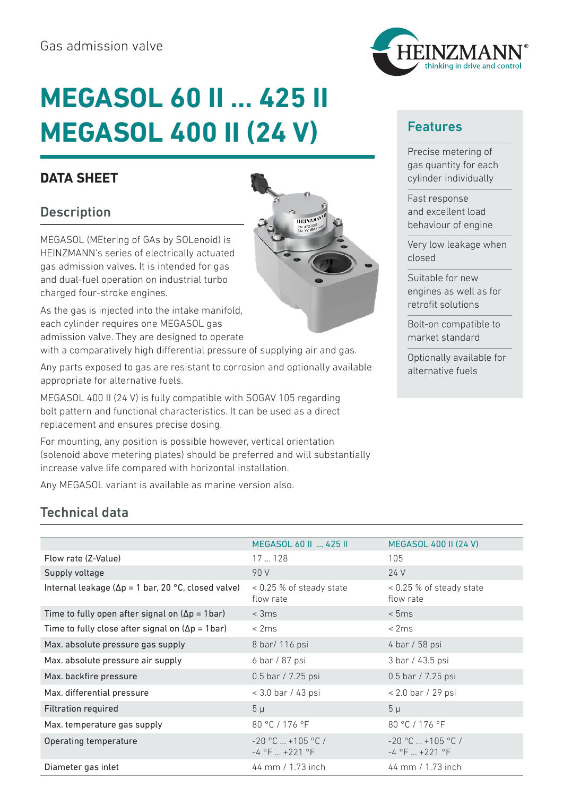# **MEGASOL 60 II … 425 II MEGASOL 400 II (24 V)**

### **DATA SHEET**

## **Description**

MEGASOL (MEtering of GAs by SOLenoid) is HEINZMANN's series of electrically actuated gas admission valves. It is intended for gas and dual-fuel operation on industrial turbo charged four-stroke engines.

As the gas is injected into the intake manifold, each cylinder requires one MEGASOL gas admission valve. They are designed to operate

with a comparatively high differential pressure of supplying air and gas.

Any parts exposed to gas are resistant to corrosion and optionally available appropriate for alternative fuels.

MEGASOL 400 II (24 V) is fully compatible with SOGAV 105 regarding bolt pattern and functional characteristics. It can be used as a direct replacement and ensures precise dosing.

For mounting, any position is possible however, vertical orientation (solenoid above metering plates) should be preferred and will substantially increase valve life compared with horizontal installation.

Any MEGASOL variant is available as marine version also.

# Technical data

|                                                             | MEGASOL 60 II  425 II                         | <b>MEGASOL 400 II (24 V)</b>                 |
|-------------------------------------------------------------|-----------------------------------------------|----------------------------------------------|
| Flow rate (Z-Value)                                         | 17128                                         | 105                                          |
| Supply voltage                                              | 90 V                                          | 24 V                                         |
| Internal leakage ( $\Delta p = 1$ bar, 20 °C, closed valve) | $<$ 0.25 % of steady state<br>flow rate       | $<$ 0.25 % of steady state<br>flow rate      |
| Time to fully open after signal on $(\Delta p = 1bar)$      | $<$ 3 $ms$                                    | < 5ms                                        |
| Time to fully close after signal on $(\Delta p = 1bar)$     | < 2ms                                         | < 2ms                                        |
| Max. absolute pressure gas supply                           | 8 bar/ 116 psi                                | 4 bar / 58 psi                               |
| Max. absolute pressure air supply                           | 6 bar / 87 psi                                | 3 bar / 43.5 psi                             |
| Max. backfire pressure                                      | 0.5 bar / 7.25 psi                            | 0.5 bar / 7.25 psi                           |
| Max. differential pressure                                  | < 3.0 bar / 43 psi                            | $< 2.0$ bar / 29 psi                         |
| <b>Filtration required</b>                                  | $5 \mu$                                       | $5 \mu$                                      |
| Max. temperature gas supply                                 | 80 °C / 176 °F                                | 80 °C / 176 °F                               |
| Operating temperature                                       | $-20$ °C $ + 105$ °C /<br>$-4$ °F $ + 221$ °F | $-20$ °C $ + 105$ °C /<br>$-4$ °F $ +221$ °F |
| Diameter gas inlet                                          | 44 mm / 1.73 inch                             | 44 mm / 1.73 inch                            |





#### Features

Precise metering of gas quantity for each cylinder individually

Fast response and excellent load behaviour of engine

Very low leakage when closed

Suitable for new engines as well as for retrofit solutions

Bolt-on compatible to market standard

Optionally available for alternative fuels